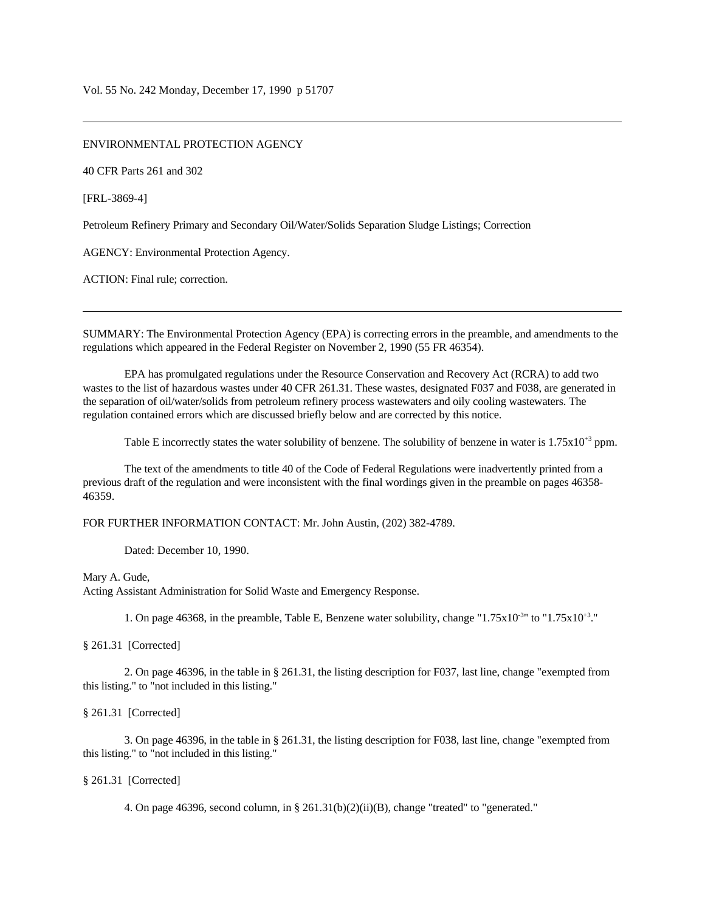ENVIRONMENTAL PROTECTION AGENCY

40 CFR Parts 261 and 302

[FRL-3869-4]

Petroleum Refinery Primary and Secondary Oil/Water/Solids Separation Sludge Listings; Correction

AGENCY: Environmental Protection Agency.

ACTION: Final rule; correction.

SUMMARY: The Environmental Protection Agency (EPA) is correcting errors in the preamble, and amendments to the regulations which appeared in the Federal Register on November 2, 1990 (55 FR 46354).

EPA has promulgated regulations under the Resource Conservation and Recovery Act (RCRA) to add two wastes to the list of hazardous wastes under 40 CFR 261.31. These wastes, designated F037 and F038, are generated in the separation of oil/water/solids from petroleum refinery process wastewaters and oily cooling wastewaters. The regulation contained errors which are discussed briefly below and are corrected by this notice.

Table E incorrectly states the water solubility of benzene. The solubility of benzene in water is  $1.75 \times 10^{+3}$  ppm.

The text of the amendments to title 40 of the Code of Federal Regulations were inadvertently printed from a previous draft of the regulation and were inconsistent with the final wordings given in the preamble on pages 46358- 46359.

FOR FURTHER INFORMATION CONTACT: Mr. John Austin, (202) 382-4789.

Dated: December 10, 1990.

Mary A. Gude,

Acting Assistant Administration for Solid Waste and Emergency Response.

1. On page 46368, in the preamble, Table E, Benzene water solubility, change " $1.75 \times 10^{-3}$ " to " $1.75 \times 10^{3}$ ."

§ 261.31 [Corrected]

2. On page 46396, in the table in § 261.31, the listing description for F037, last line, change "exempted from this listing." to "not included in this listing."

§ 261.31 [Corrected]

3. On page 46396, in the table in § 261.31, the listing description for F038, last line, change "exempted from this listing." to "not included in this listing."

§ 261.31 [Corrected]

4. On page 46396, second column, in  $\S 261.31(b)(2)(ii)(B)$ , change "treated" to "generated."